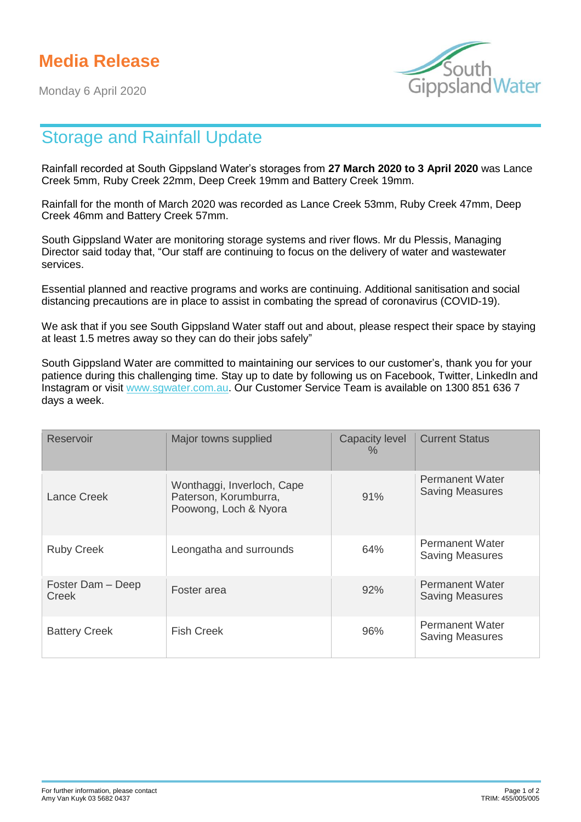## **Media Release**

Monday 6 April 2020



## Storage and Rainfall Update

Rainfall recorded at South Gippsland Water's storages from **27 March 2020 to 3 April 2020** was Lance Creek 5mm, Ruby Creek 22mm, Deep Creek 19mm and Battery Creek 19mm.

Rainfall for the month of March 2020 was recorded as Lance Creek 53mm, Ruby Creek 47mm, Deep Creek 46mm and Battery Creek 57mm.

South Gippsland Water are monitoring storage systems and river flows. Mr du Plessis, Managing Director said today that, "Our staff are continuing to focus on the delivery of water and wastewater services.

Essential planned and reactive programs and works are continuing. Additional sanitisation and social distancing precautions are in place to assist in combating the spread of coronavirus (COVID-19).

We ask that if you see South Gippsland Water staff out and about, please respect their space by staying at least 1.5 metres away so they can do their jobs safely"

South Gippsland Water are committed to maintaining our services to our customer's, thank you for your patience during this challenging time. Stay up to date by following us on Facebook, Twitter, LinkedIn and Instagram or visit [www.sgwater.com.au.](http://www.sgwater.com.au/) Our Customer Service Team is available on 1300 851 636 7 days a week.

| Reservoir                  | Major towns supplied                                                         | <b>Capacity level</b><br>$\%$ | <b>Current Status</b>                            |
|----------------------------|------------------------------------------------------------------------------|-------------------------------|--------------------------------------------------|
| Lance Creek                | Wonthaggi, Inverloch, Cape<br>Paterson, Korumburra,<br>Poowong, Loch & Nyora | 91%                           | <b>Permanent Water</b><br><b>Saving Measures</b> |
| <b>Ruby Creek</b>          | Leongatha and surrounds                                                      | 64%                           | <b>Permanent Water</b><br><b>Saving Measures</b> |
| Foster Dam - Deep<br>Creek | Foster area                                                                  | 92%                           | <b>Permanent Water</b><br><b>Saving Measures</b> |
| <b>Battery Creek</b>       | <b>Fish Creek</b>                                                            | 96%                           | <b>Permanent Water</b><br><b>Saving Measures</b> |